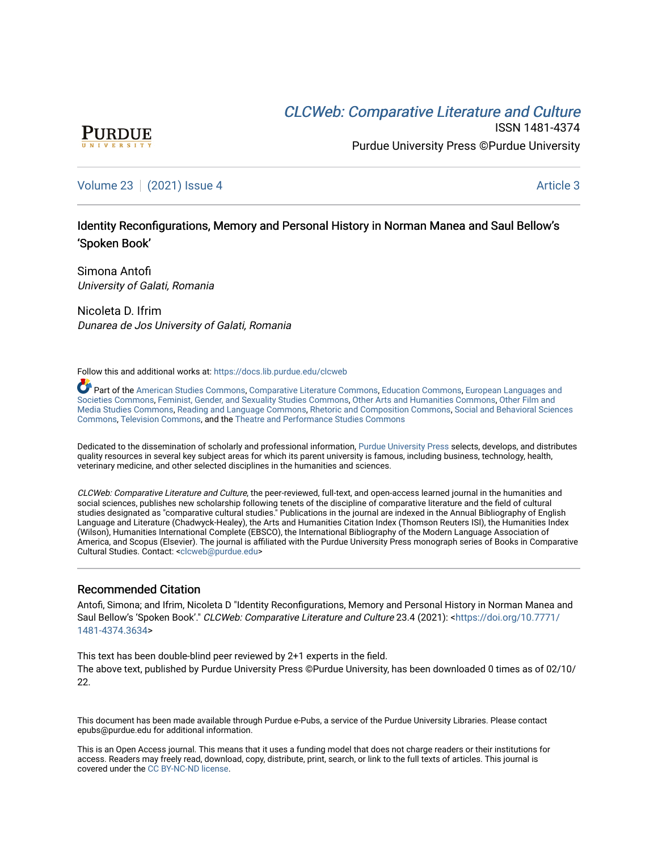# **CLCW[eb: Comparative Liter](https://docs.lib.purdue.edu/clcweb)ature and Culture**



ISSN 1481-4374 Purdue University Press ©Purdue University

## [Volume 23](https://docs.lib.purdue.edu/clcweb/vol23) | [\(2021\) Issue 4](https://docs.lib.purdue.edu/clcweb/vol23/iss4) Article 3

## Identity Reconfigurations, Memory and Personal History in Norman Manea and Saul Bellow's 'Spoken Book'

Simona Antofi University of Galati, Romania

Nicoleta D. Ifrim Dunarea de Jos University of Galati, Romania

Follow this and additional works at: [https://docs.lib.purdue.edu/clcweb](https://docs.lib.purdue.edu/clcweb?utm_source=docs.lib.purdue.edu%2Fclcweb%2Fvol23%2Fiss4%2F3&utm_medium=PDF&utm_campaign=PDFCoverPages)

Part of the [American Studies Commons](http://network.bepress.com/hgg/discipline/439?utm_source=docs.lib.purdue.edu%2Fclcweb%2Fvol23%2Fiss4%2F3&utm_medium=PDF&utm_campaign=PDFCoverPages), [Comparative Literature Commons,](http://network.bepress.com/hgg/discipline/454?utm_source=docs.lib.purdue.edu%2Fclcweb%2Fvol23%2Fiss4%2F3&utm_medium=PDF&utm_campaign=PDFCoverPages) [Education Commons,](http://network.bepress.com/hgg/discipline/784?utm_source=docs.lib.purdue.edu%2Fclcweb%2Fvol23%2Fiss4%2F3&utm_medium=PDF&utm_campaign=PDFCoverPages) [European Languages and](http://network.bepress.com/hgg/discipline/482?utm_source=docs.lib.purdue.edu%2Fclcweb%2Fvol23%2Fiss4%2F3&utm_medium=PDF&utm_campaign=PDFCoverPages) [Societies Commons](http://network.bepress.com/hgg/discipline/482?utm_source=docs.lib.purdue.edu%2Fclcweb%2Fvol23%2Fiss4%2F3&utm_medium=PDF&utm_campaign=PDFCoverPages), [Feminist, Gender, and Sexuality Studies Commons,](http://network.bepress.com/hgg/discipline/559?utm_source=docs.lib.purdue.edu%2Fclcweb%2Fvol23%2Fiss4%2F3&utm_medium=PDF&utm_campaign=PDFCoverPages) [Other Arts and Humanities Commons](http://network.bepress.com/hgg/discipline/577?utm_source=docs.lib.purdue.edu%2Fclcweb%2Fvol23%2Fiss4%2F3&utm_medium=PDF&utm_campaign=PDFCoverPages), [Other Film and](http://network.bepress.com/hgg/discipline/565?utm_source=docs.lib.purdue.edu%2Fclcweb%2Fvol23%2Fiss4%2F3&utm_medium=PDF&utm_campaign=PDFCoverPages)  [Media Studies Commons](http://network.bepress.com/hgg/discipline/565?utm_source=docs.lib.purdue.edu%2Fclcweb%2Fvol23%2Fiss4%2F3&utm_medium=PDF&utm_campaign=PDFCoverPages), [Reading and Language Commons](http://network.bepress.com/hgg/discipline/1037?utm_source=docs.lib.purdue.edu%2Fclcweb%2Fvol23%2Fiss4%2F3&utm_medium=PDF&utm_campaign=PDFCoverPages), [Rhetoric and Composition Commons,](http://network.bepress.com/hgg/discipline/573?utm_source=docs.lib.purdue.edu%2Fclcweb%2Fvol23%2Fiss4%2F3&utm_medium=PDF&utm_campaign=PDFCoverPages) [Social and Behavioral Sciences](http://network.bepress.com/hgg/discipline/316?utm_source=docs.lib.purdue.edu%2Fclcweb%2Fvol23%2Fiss4%2F3&utm_medium=PDF&utm_campaign=PDFCoverPages) [Commons,](http://network.bepress.com/hgg/discipline/316?utm_source=docs.lib.purdue.edu%2Fclcweb%2Fvol23%2Fiss4%2F3&utm_medium=PDF&utm_campaign=PDFCoverPages) [Television Commons,](http://network.bepress.com/hgg/discipline/1143?utm_source=docs.lib.purdue.edu%2Fclcweb%2Fvol23%2Fiss4%2F3&utm_medium=PDF&utm_campaign=PDFCoverPages) and the [Theatre and Performance Studies Commons](http://network.bepress.com/hgg/discipline/552?utm_source=docs.lib.purdue.edu%2Fclcweb%2Fvol23%2Fiss4%2F3&utm_medium=PDF&utm_campaign=PDFCoverPages)

Dedicated to the dissemination of scholarly and professional information, [Purdue University Press](http://www.thepress.purdue.edu/) selects, develops, and distributes quality resources in several key subject areas for which its parent university is famous, including business, technology, health, veterinary medicine, and other selected disciplines in the humanities and sciences.

CLCWeb: Comparative Literature and Culture, the peer-reviewed, full-text, and open-access learned journal in the humanities and social sciences, publishes new scholarship following tenets of the discipline of comparative literature and the field of cultural studies designated as "comparative cultural studies." Publications in the journal are indexed in the Annual Bibliography of English Language and Literature (Chadwyck-Healey), the Arts and Humanities Citation Index (Thomson Reuters ISI), the Humanities Index (Wilson), Humanities International Complete (EBSCO), the International Bibliography of the Modern Language Association of America, and Scopus (Elsevier). The journal is affiliated with the Purdue University Press monograph series of Books in Comparative Cultural Studies. Contact: [<clcweb@purdue.edu](mailto:clcweb@purdue.edu)>

### Recommended Citation

Antofi, Simona; and Ifrim, Nicoleta D "Identity Reconfigurations, Memory and Personal History in Norman Manea and Saul Bellow's 'Spoken Book'." CLCWeb: Comparative Literature and Culture 23.4 (2021): <[https://doi.org/10.7771/](https://doi.org/10.7771/1481-4374.3634) [1481-4374.3634](https://doi.org/10.7771/1481-4374.3634)>

This text has been double-blind peer reviewed by 2+1 experts in the field. The above text, published by Purdue University Press ©Purdue University, has been downloaded 0 times as of 02/10/ 22.

This document has been made available through Purdue e-Pubs, a service of the Purdue University Libraries. Please contact epubs@purdue.edu for additional information.

This is an Open Access journal. This means that it uses a funding model that does not charge readers or their institutions for access. Readers may freely read, download, copy, distribute, print, search, or link to the full texts of articles. This journal is covered under the [CC BY-NC-ND license.](https://creativecommons.org/licenses/by-nc-nd/4.0/)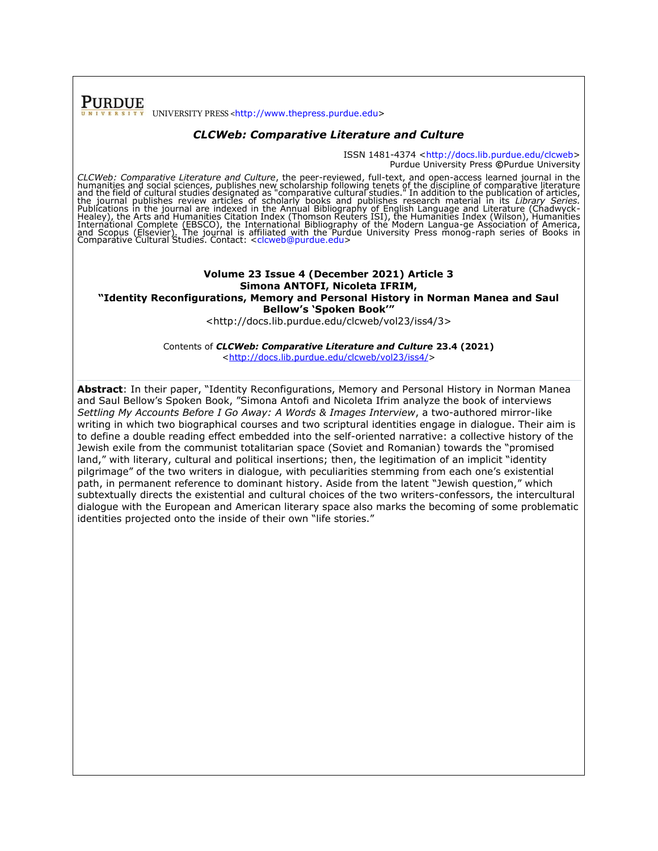**PURDUE** UNIVERSITY PRESS <[http://www.thepress.purdue.edu>](http://www.thepress.purdue.edu/)

#### *CLCWeb: Comparative Literature and Culture*

ISSN 1481-4374 [<http://docs.lib.purdue.edu/clcweb>](http://docs.lib.purdue.edu/clcweb) Purdue University Press **©**Purdue University

*CLCWeb: Comparative Literature and Culture*, the peer-reviewed, full-text, and open-access learned journal in the humanities and social sciences, publishes new scholarship following tenets of the discipline of comparative

#### **Volume 23 Issue 4 (December 2021) Article 3 Simona ANTOFI, Nicoleta IFRIM, "Identity Reconfigurations, Memory and Personal History in Norman Manea and Saul Bellow's 'Spoken Book'"**

<http://docs.lib.purdue.edu/clcweb/vol23/iss4/3>

Contents of *CLCWeb: Comparative Literature and Culture* **23.4 (2021)** [<http://docs.lib.purdue.edu/clcweb/vol23/iss4/>](http://docs.lib.purdue.edu/clcweb/vol23/iss4/)

**Abstract**: In their paper, "Identity Reconfigurations, Memory and Personal History in Norman Manea and Saul Bellow's Spoken Book, "Simona Antofi and Nicoleta Ifrim analyze the book of interviews *Settling My Accounts Before I Go Away: A Words & Images Interview*, a two-authored mirror-like writing in which two biographical courses and two scriptural identities engage in dialogue. Their aim is to define a double reading effect embedded into the self-oriented narrative: a collective history of the Jewish exile from the communist totalitarian space (Soviet and Romanian) towards the "promised land," with literary, cultural and political insertions; then, the legitimation of an implicit "identity pilgrimage" of the two writers in dialogue, with peculiarities stemming from each one's existential path, in permanent reference to dominant history. Aside from the latent "Jewish question," which subtextually directs the existential and cultural choices of the two writers-confessors, the intercultural dialogue with the European and American literary space also marks the becoming of some problematic identities projected onto the inside of their own "life stories."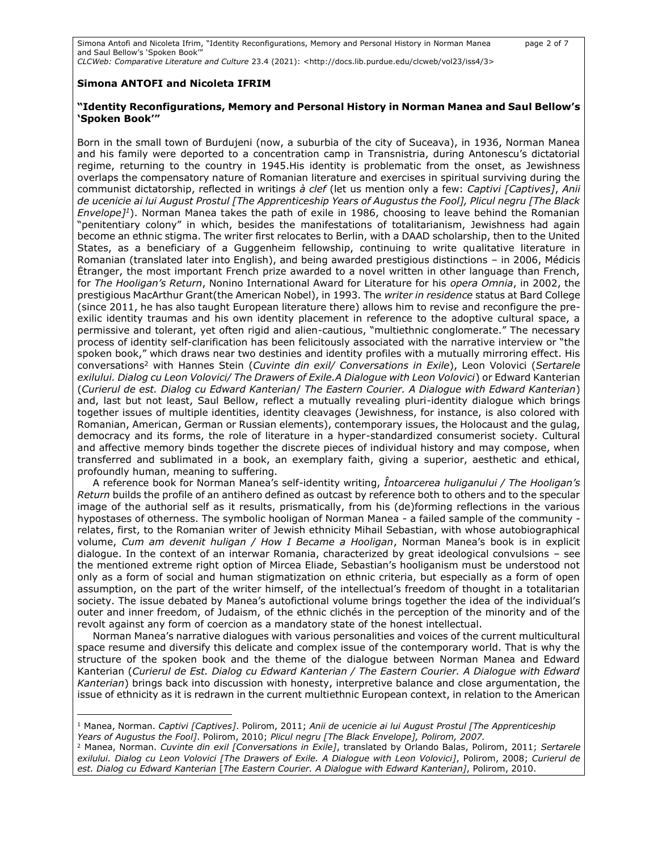Simona Antofi and Nicoleta Ifrim, "Identity Reconfigurations, Memory and Personal History in Norman Manea page 2 of 7 and Saul Bellow's 'Spoken Book'"

*CLCWeb: Comparative Literature and Culture* 23.4 (2021): <http://docs.lib.purdue.edu/clcweb/vol23/iss4/3>

### **Simona ANTOFI and Nicoleta IFRIM**

#### **"Identity Reconfigurations, Memory and Personal History in Norman Manea and Saul Bellow's 'Spoken Book'"**

Born in the small town of Burdujeni (now, a suburbia of the city of Suceava), in 1936, Norman Manea and his family were deported to a concentration camp in Transnistria, during Antonescu's dictatorial regime, returning to the country in 1945.His identity is problematic from the onset, as Jewishness overlaps the compensatory nature of Romanian literature and exercises in spiritual surviving during the communist dictatorship, reflected in writings *à clef* (let us mention only a few: *Captivi [Captives]*, *Anii de ucenicie ai lui August Prostul [The Apprenticeship Years of Augustus the Fool], Plicul negru [The Black Envelope]<sup>1</sup>*). Norman Manea takes the path of exile in 1986, choosing to leave behind the Romanian "penitentiary colony" in which, besides the manifestations of totalitarianism, Jewishness had again become an ethnic stigma. The writer first relocates to Berlin, with a DAAD scholarship, then to the United States, as a beneficiary of a Guggenheim fellowship, continuing to write qualitative literature in Romanian (translated later into English), and being awarded prestigious distinctions – in 2006, Médicis Ėtranger, the most important French prize awarded to a novel written in other language than French, for *The Hooligan's Return*, Nonino International Award for Literature for his *opera Omnia*, in 2002, the prestigious MacArthur Grant(the American Nobel), in 1993. The *writer in residence* status at Bard College (since 2011, he has also taught European literature there) allows him to revise and reconfigure the preexilic identity traumas and his own identity placement in reference to the adoptive cultural space, a permissive and tolerant, yet often rigid and alien-cautious, "multiethnic conglomerate." The necessary process of identity self-clarification has been felicitously associated with the narrative interview or "the spoken book," which draws near two destinies and identity profiles with a mutually mirroring effect. His conversations<sup>2</sup> with Hannes Stein (*Cuvinte din exil/ Conversations in Exile*), Leon Volovici (*Sertarele exilului. Dialog cu Leon Volovici/ The Drawers of Exile.A Dialogue with Leon Volovici*) or Edward Kanterian (*Curierul de est. Dialog cu Edward Kanterian*/ *The Eastern Courier. A Dialogue with Edward Kanterian*) and, last but not least, Saul Bellow, reflect a mutually revealing pluri-identity dialogue which brings together issues of multiple identities, identity cleavages (Jewishness, for instance, is also colored with Romanian, American, German or Russian elements), contemporary issues, the Holocaust and the gulag, democracy and its forms, the role of literature in a hyper-standardized consumerist society. Cultural and affective memory binds together the discrete pieces of individual history and may compose, when transferred and sublimated in a book, an exemplary faith, giving a superior, aesthetic and ethical, profoundly human, meaning to suffering.

A reference book for Norman Manea's self-identity writing, *Întoarcerea huliganului / The Hooligan's Return* builds the profile of an antihero defined as outcast by reference both to others and to the specular image of the authorial self as it results, prismatically, from his (de)forming reflections in the various hypostases of otherness. The symbolic hooligan of Norman Manea - a failed sample of the community relates, first, to the Romanian writer of Jewish ethnicity Mihail Sebastian, with whose autobiographical volume, *Cum am devenit huligan / How I Became a Hooligan*, Norman Manea's book is in explicit dialogue. In the context of an interwar Romania, characterized by great ideological convulsions – see the mentioned extreme right option of Mircea Eliade, Sebastian's hooliganism must be understood not only as a form of social and human stigmatization on ethnic criteria, but especially as a form of open assumption, on the part of the writer himself, of the intellectual's freedom of thought in a totalitarian society. The issue debated by Manea's autofictional volume brings together the idea of the individual's outer and inner freedom, of Judaism, of the ethnic clichés in the perception of the minority and of the revolt against any form of coercion as a mandatory state of the honest intellectual.

Norman Manea's narrative dialogues with various personalities and voices of the current multicultural space resume and diversify this delicate and complex issue of the contemporary world. That is why the structure of the spoken book and the theme of the dialogue between Norman Manea and Edward Kanterian (*Curierul de Est. Dialog cu Edward Kanterian / The Eastern Courier. A Dialogue with Edward Kanterian*) brings back into discussion with honesty, interpretive balance and close argumentation, the issue of ethnicity as it is redrawn in the current multiethnic European context, in relation to the American

<sup>1</sup> Manea, Norman. *Captivi [Captives]*. Polirom, 2011; *Anii de ucenicie ai lui August Prostul [The Apprenticeship Years of Augustus the Fool]*. Polirom, 2010; *Plicul negru [The Black Envelope], Polirom, 2007.*

<sup>2</sup> Manea, Norman. *Cuvinte din exil [Conversations in Exile]*, translated by Orlando Balas, Polirom, 2011; *Sertarele exilului. Dialog cu Leon Volovici [The Drawers of Exile. A Dialogue with Leon Volovici]*, Polirom, 2008; *Curierul de est. Dialog cu Edward Kanterian* [*The Eastern Courier. A Dialogue with Edward Kanterian]*, Polirom, 2010.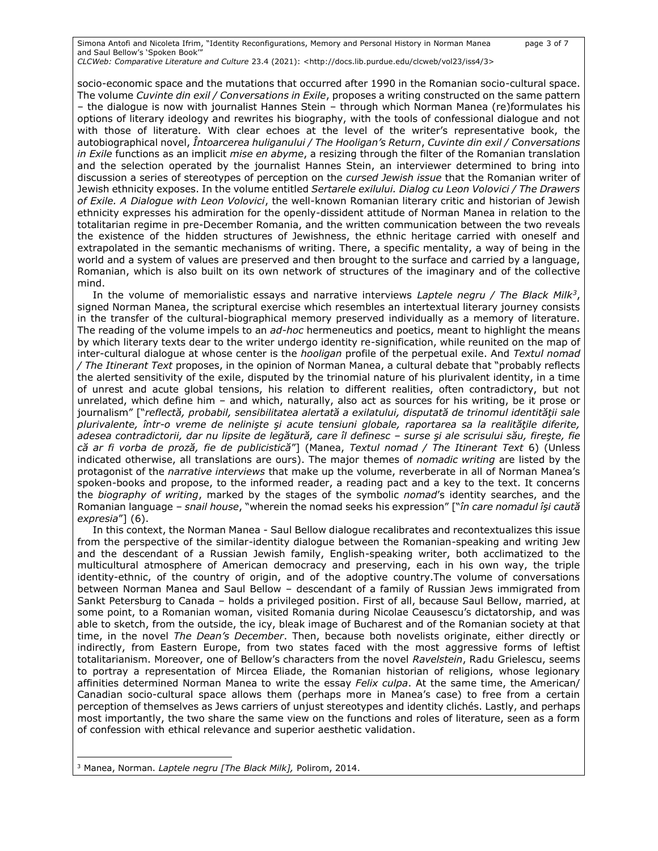Simona Antofi and Nicoleta Ifrim, "Identity Reconfigurations, Memory and Personal History in Norman Manea page 3 of 7 and Saul Bellow's 'Spoken Book'" *CLCWeb: Comparative Literature and Culture* 23.4 (2021): <http://docs.lib.purdue.edu/clcweb/vol23/iss4/3>

socio-economic space and the mutations that occurred after 1990 in the Romanian socio-cultural space. The volume *Cuvinte din exil / Conversations in Exile*, proposes a writing constructed on the same pattern – the dialogue is now with journalist Hannes Stein – through which Norman Manea (re)formulates his options of literary ideology and rewrites his biography, with the tools of confessional dialogue and not with those of literature. With clear echoes at the level of the writer's representative book, the autobiographical novel, *Întoarcerea huliganului / The Hooligan's Return*, *Cuvinte din exil / Conversations in Exile* functions as an implicit *mise en abyme*, a resizing through the filter of the Romanian translation and the selection operated by the journalist Hannes Stein, an interviewer determined to bring into discussion a series of stereotypes of perception on the *cursed Jewish issue* that the Romanian writer of Jewish ethnicity exposes. In the volume entitled *Sertarele exilului. Dialog cu Leon Volovici / The Drawers of Exile. A Dialogue with Leon Volovici*, the well-known Romanian literary critic and historian of Jewish ethnicity expresses his admiration for the openly-dissident attitude of Norman Manea in relation to the totalitarian regime in pre-December Romania, and the written communication between the two reveals the existence of the hidden structures of Jewishness, the ethnic heritage carried with oneself and extrapolated in the semantic mechanisms of writing. There, a specific mentality, a way of being in the world and a system of values are preserved and then brought to the surface and carried by a language, Romanian, which is also built on its own network of structures of the imaginary and of the collective mind.

In the volume of memorialistic essays and narrative interviews *Laptele negru / The Black Milk<sup>3</sup>* , signed Norman Manea, the scriptural exercise which resembles an intertextual literary journey consists in the transfer of the cultural-biographical memory preserved individually as a memory of literature. The reading of the volume impels to an *ad-hoc* hermeneutics and poetics, meant to highlight the means by which literary texts dear to the writer undergo identity re-signification, while reunited on the map of inter-cultural dialogue at whose center is the *hooligan* profile of the perpetual exile. And *Textul nomad / The Itinerant Text* proposes, in the opinion of Norman Manea, a cultural debate that "probably reflects the alerted sensitivity of the exile, disputed by the trinomial nature of his plurivalent identity, in a time of unrest and acute global tensions, his relation to different realities, often contradictory, but not unrelated, which define him – and which, naturally, also act as sources for his writing, be it prose or journalism" ["*reflectă, probabil, sensibilitatea alertată a exilatului, disputată de trinomul identităţii sale plurivalente, într-o vreme de nelinişte şi acute tensiuni globale, raportarea sa la realităţile diferite, adesea contradictorii, dar nu lipsite de legătură, care îl definesc – surse şi ale scrisului său, fireşte, fie că ar fi vorba de proză, fie de publicistică*"] (Manea, *Textul nomad / The Itinerant Text* 6) (Unless indicated otherwise, all translations are ours). The major themes of *nomadic writing* are listed by the protagonist of the *narrative interviews* that make up the volume, reverberate in all of Norman Manea's spoken-books and propose, to the informed reader, a reading pact and a key to the text. It concerns the *biography of writing*, marked by the stages of the symbolic *nomad*'s identity searches, and the Romanian language – *snail house*, "wherein the nomad seeks his expression" ["*în care nomadul îşi caută expresia*"] (6).

In this context, the Norman Manea - Saul Bellow dialogue recalibrates and recontextualizes this issue from the perspective of the similar-identity dialogue between the Romanian-speaking and writing Jew and the descendant of a Russian Jewish family, English-speaking writer, both acclimatized to the multicultural atmosphere of American democracy and preserving, each in his own way, the triple identity-ethnic, of the country of origin, and of the adoptive country.The volume of conversations between Norman Manea and Saul Bellow – descendant of a family of Russian Jews immigrated from Sankt Petersburg to Canada – holds a privileged position. First of all, because Saul Bellow, married, at some point, to a Romanian woman, visited Romania during Nicolae Ceausescu's dictatorship, and was able to sketch, from the outside, the icy, bleak image of Bucharest and of the Romanian society at that time, in the novel *The Dean's December*. Then, because both novelists originate, either directly or indirectly, from Eastern Europe, from two states faced with the most aggressive forms of leftist totalitarianism. Moreover, one of Bellow's characters from the novel *Ravelstein*, Radu Grielescu, seems to portray a representation of Mircea Eliade, the Romanian historian of religions, whose legionary affinities determined Norman Manea to write the essay *Felix culpa*. At the same time, the American/ Canadian socio-cultural space allows them (perhaps more in Manea's case) to free from a certain perception of themselves as Jews carriers of unjust stereotypes and identity clichés. Lastly, and perhaps most importantly, the two share the same view on the functions and roles of literature, seen as a form of confession with ethical relevance and superior aesthetic validation.

<sup>3</sup> Manea, Norman. *Laptele negru [The Black Milk],* Polirom, 2014.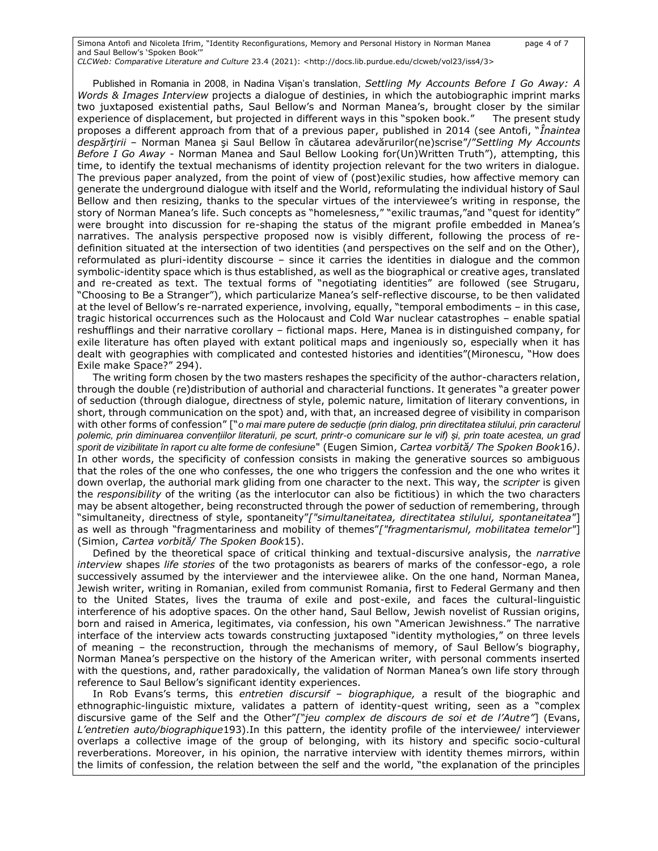Simona Antofi and Nicoleta Ifrim, "Identity Reconfigurations, Memory and Personal History in Norman Manea page 4 of 7 and Saul Bellow's 'Spoken Book'" *CLCWeb: Comparative Literature and Culture* 23.4 (2021): <http://docs.lib.purdue.edu/clcweb/vol23/iss4/3>

Published in Romania in 2008, in Nadina Vișan's translation, *Settling My Accounts Before I Go Away: A Words & Images Interview* projects a dialogue of destinies, in which the autobiographic imprint marks two juxtaposed existential paths, Saul Bellow's and Norman Manea's, brought closer by the similar experience of displacement, but projected in different ways in this "spoken book." The present study proposes a different approach from that of a previous paper, published in 2014 (see Antofi, "*Înaintea despărţirii* – Norman Manea şi Saul Bellow în căutarea adevărurilor(ne)scrise"/"*Settling My Accounts Before I Go Away -* Norman Manea and Saul Bellow Looking for(Un)Written Truth"), attempting, this time, to identify the textual mechanisms of identity projection relevant for the two writers in dialogue. The previous paper analyzed, from the point of view of (post)exilic studies, how affective memory can generate the underground dialogue with itself and the World, reformulating the individual history of Saul Bellow and then resizing, thanks to the specular virtues of the interviewee's writing in response, the story of Norman Manea's life. Such concepts as "homelesness," "exilic traumas,"and "quest for identity" were brought into discussion for re-shaping the status of the migrant profile embedded in Manea's narratives. The analysis perspective proposed now is visibly different, following the process of redefinition situated at the intersection of two identities (and perspectives on the self and on the Other), reformulated as pluri-identity discourse – since it carries the identities in dialogue and the common symbolic-identity space which is thus established, as well as the biographical or creative ages, translated and re-created as text. The textual forms of "negotiating identities" are followed (see Strugaru, "Choosing to Be a Stranger"), which particularize Manea's self-reflective discourse, to be then validated at the level of Bellow's re-narrated experience, involving, equally, "temporal embodiments – in this case, tragic historical occurrences such as the Holocaust and Cold War nuclear catastrophes – enable spatial reshufflings and their narrative corollary – fictional maps. Here, Manea is in distinguished company, for exile literature has often played with extant political maps and ingeniously so, especially when it has dealt with geographies with complicated and contested histories and identities"(Mironescu, "How does Exile make Space?" 294).

The writing form chosen by the two masters reshapes the specificity of the author-characters relation, through the double (re)distribution of authorial and characterial functions. It generates "a greater power of seduction (through dialogue, directness of style, polemic nature, limitation of literary conventions, in short, through communication on the spot) and, with that, an increased degree of visibility in comparison with other forms of confession" ["*o mai mare putere de seducție (prin dialog, prin directitatea stilului, prin caracterul polemic, prin diminuarea convențiilor literaturii, pe scurt, printr-o comunicare sur le vif) și, prin toate acestea, un grad sporit de vizibilitate în raport cu alte forme de confesiune*" (Eugen Simion, *Cartea vorbită/ The Spoken Book*16*)*. In other words, the specificity of confession consists in making the generative sources so ambiguous that the roles of the one who confesses, the one who triggers the confession and the one who writes it down overlap, the authorial mark gliding from one character to the next. This way, the *scripter* is given the *responsibility* of the writing (as the interlocutor can also be fictitious) in which the two characters may be absent altogether, being reconstructed through the power of seduction of remembering, through "simultaneity, directness of style, spontaneity"*["simultaneitatea, directitatea stilului, spontaneitatea"*] as well as through "fragmentariness and mobility of themes"*["fragmentarismul, mobilitatea temelor"*] (Simion, *Cartea vorbită/ The Spoken Book*15).

Defined by the theoretical space of critical thinking and textual-discursive analysis, the *narrative interview* shapes *life stories* of the two protagonists as bearers of marks of the confessor-ego, a role successively assumed by the interviewer and the interviewee alike. On the one hand, Norman Manea, Jewish writer, writing in Romanian, exiled from communist Romania, first to Federal Germany and then to the United States, lives the trauma of exile and post-exile, and faces the cultural-linguistic interference of his adoptive spaces. On the other hand, Saul Bellow, Jewish novelist of Russian origins, born and raised in America, legitimates, via confession, his own "American Jewishness." The narrative interface of the interview acts towards constructing juxtaposed "identity mythologies," on three levels of meaning – the reconstruction, through the mechanisms of memory, of Saul Bellow's biography, Norman Manea's perspective on the history of the American writer, with personal comments inserted with the questions, and, rather paradoxically, the validation of Norman Manea's own life story through reference to Saul Bellow's significant identity experiences.

In Rob Evans's terms, this *entretien discursif* – *biographique,* a result of the biographic and ethnographic-linguistic mixture, validates a pattern of identity-quest writing, seen as a "complex discursive game of the Self and the Other"*["jeu complex de discours de soi et de l'Autre"*] (Evans, *L'entretien auto/biographique*193).In this pattern, the identity profile of the interviewee/ interviewer overlaps a collective image of the group of belonging, with its history and specific socio-cultural reverberations. Moreover, in his opinion, the narrative interview with identity themes mirrors, within the limits of confession, the relation between the self and the world, "the explanation of the principles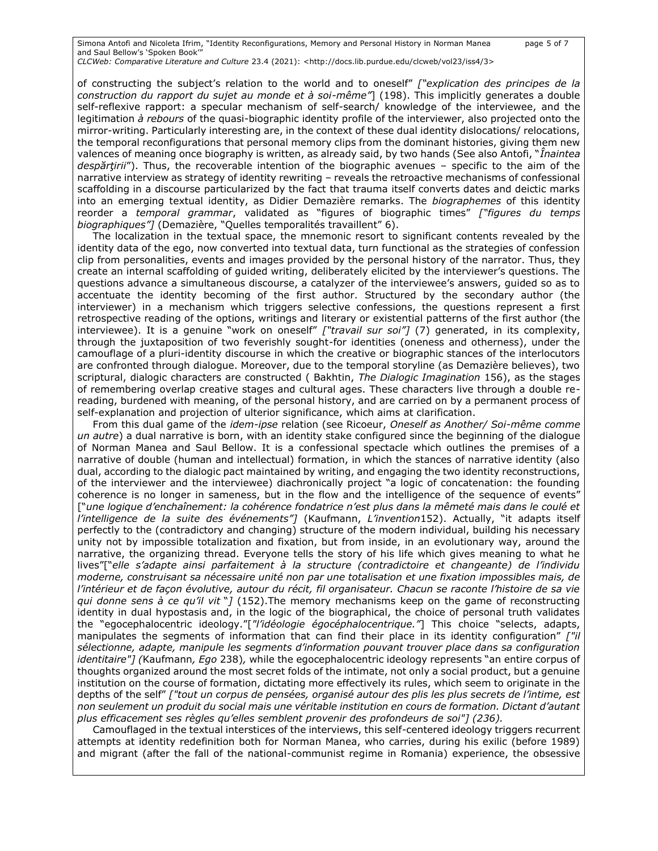Simona Antofi and Nicoleta Ifrim, "Identity Reconfigurations, Memory and Personal History in Norman Manea page 5 of 7 and Saul Bellow's 'Spoken Book'" *CLCWeb: Comparative Literature and Culture* 23.4 (2021): <http://docs.lib.purdue.edu/clcweb/vol23/iss4/3>

of constructing the subject's relation to the world and to oneself" *["explication des principes de la construction du rapport du sujet au monde et à soi-même"*] (198). This implicitly generates a double self-reflexive rapport: a specular mechanism of self-search/ knowledge of the interviewee, and the legitimation *à rebours* of the quasi-biographic identity profile of the interviewer, also projected onto the mirror-writing. Particularly interesting are, in the context of these dual identity dislocations/ relocations, the temporal reconfigurations that personal memory clips from the dominant histories, giving them new valences of meaning once biography is written, as already said, by two hands (See also Antofi, "*Înaintea despărţirii*"). Thus, the recoverable intention of the biographic avenues – specific to the aim of the narrative interview as strategy of identity rewriting – reveals the retroactive mechanisms of confessional scaffolding in a discourse particularized by the fact that trauma itself converts dates and deictic marks into an emerging textual identity, as Didier Demazière remarks. The *biographemes* of this identity reorder a *temporal grammar*, validated as "figures of biographic times" *["figures du temps biographiques"]* (Demazière, "Quelles temporalités travaillent" 6).

The localization in the textual space, the mnemonic resort to significant contents revealed by the identity data of the ego, now converted into textual data, turn functional as the strategies of confession clip from personalities, events and images provided by the personal history of the narrator. Thus, they create an internal scaffolding of guided writing, deliberately elicited by the interviewer's questions. The questions advance a simultaneous discourse, a catalyzer of the interviewee's answers, guided so as to accentuate the identity becoming of the first author. Structured by the secondary author (the interviewer) in a mechanism which triggers selective confessions, the questions represent a first retrospective reading of the options, writings and literary or existential patterns of the first author (the interviewee). It is a genuine "work on oneself" *["travail sur soi"]* (7) generated, in its complexity, through the juxtaposition of two feverishly sought-for identities (oneness and otherness), under the camouflage of a pluri-identity discourse in which the creative or biographic stances of the interlocutors are confronted through dialogue. Moreover, due to the temporal storyline (as Demazière believes), two scriptural, dialogic characters are constructed ( Bakhtin, *The Dialogic Imagination* 156), as the stages of remembering overlap creative stages and cultural ages. These characters live through a double rereading, burdened with meaning, of the personal history, and are carried on by a permanent process of self-explanation and projection of ulterior significance, which aims at clarification.

From this dual game of the *idem-ipse* relation (see Ricoeur, *Oneself as Another/ Soi-même comme un autre*) a dual narrative is born, with an identity stake configured since the beginning of the dialogue of Norman Manea and Saul Bellow. It is a confessional spectacle which outlines the premises of a narrative of double (human and intellectual) formation, in which the stances of narrative identity (also dual, according to the dialogic pact maintained by writing, and engaging the two identity reconstructions, of the interviewer and the interviewee) diachronically project "a logic of concatenation: the founding coherence is no longer in sameness, but in the flow and the intelligence of the sequence of events" ["*une logique d'enchaînement: la cohérence fondatrice n'est plus dans la mêmeté mais dans le coulé et l'intelligence de la suite des événements"]* (Kaufmann, *L'invention*152). Actually, "it adapts itself perfectly to the (contradictory and changing) structure of the modern individual, building his necessary unity not by impossible totalization and fixation, but from inside, in an evolutionary way, around the narrative, the organizing thread. Everyone tells the story of his life which gives meaning to what he lives"["*elle s'adapte ainsi parfaitement à la structure (contradictoire et changeante) de l'individu moderne, construisant sa nécessaire unité non par une totalisation et une fixation impossibles mais, de l'intérieur et de façon évolutive, autour du récit, fil organisateur. Chacun se raconte l'histoire de sa vie qui donne sens à ce qu'il vit* "*]* (152).The memory mechanisms keep on the game of reconstructing identity in dual hypostasis and, in the logic of the biographical, the choice of personal truth validates the "egocephalocentric ideology."[*"l'idéologie égocéphalocentrique."*] This choice "selects, adapts, manipulates the segments of information that can find their place in its identity configuration" *["il sélectionne, adapte, manipule les segments d'information pouvant trouver place dans sa configuration identitaire"] (*Kaufmann*, Ego* 238)*,* while the egocephalocentric ideology represents "an entire corpus of thoughts organized around the most secret folds of the intimate, not only a social product, but a genuine institution on the course of formation, dictating more effectively its rules, which seem to originate in the depths of the self" *["tout un corpus de pensées, organisé autour des plis les plus secrets de l'intime, est non seulement un produit du social mais une véritable institution en cours de formation. Dictant d'autant plus efficacement ses règles qu'elles semblent provenir des profondeurs de soi"] (236).*

Camouflaged in the textual interstices of the interviews, this self-centered ideology triggers recurrent attempts at identity redefinition both for Norman Manea, who carries, during his exilic (before 1989) and migrant (after the fall of the national-communist regime in Romania) experience, the obsessive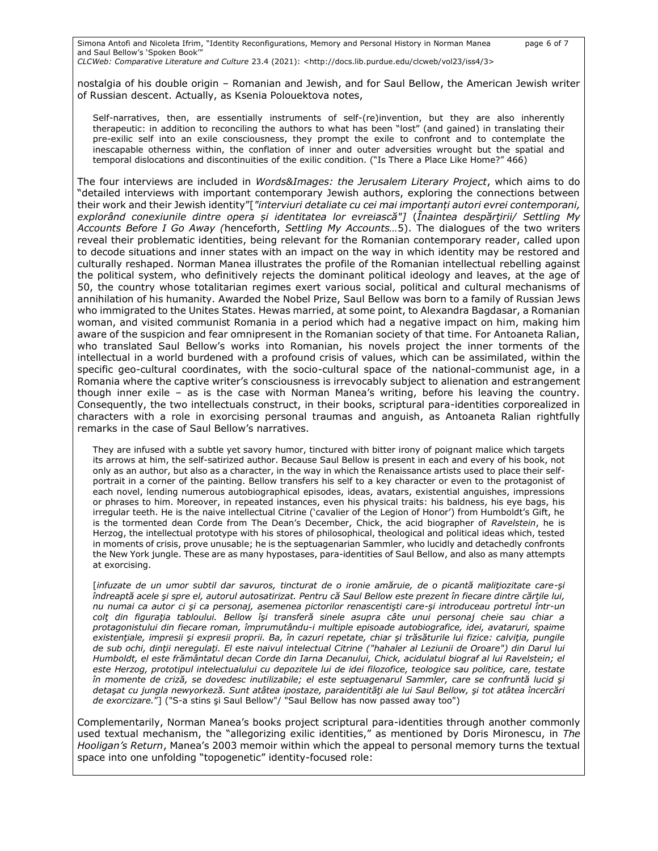Simona Antofi and Nicoleta Ifrim, "Identity Reconfigurations, Memory and Personal History in Norman Manea page 6 of 7 and Saul Bellow's 'Spoken Book'"

*CLCWeb: Comparative Literature and Culture* 23.4 (2021): <http://docs.lib.purdue.edu/clcweb/vol23/iss4/3>

nostalgia of his double origin – Romanian and Jewish, and for Saul Bellow, the American Jewish writer of Russian descent. Actually, as Ksenia Polouektova notes,

Self-narratives, then, are essentially instruments of self-(re)invention, but they are also inherently therapeutic: in addition to reconciling the authors to what has been "lost" (and gained) in translating their pre-exilic self into an exile consciousness, they prompt the exile to confront and to contemplate the inescapable otherness within, the conflation of inner and outer adversities wrought but the spatial and temporal dislocations and discontinuities of the exilic condition. ("Is There a Place Like Home?" 466)

The four interviews are included in *Words&Images: the Jerusalem Literary Project*, which aims to do "detailed interviews with important contemporary Jewish authors, exploring the connections between their work and their Jewish identity"[*"interviuri detaliate cu cei mai importanți autori evrei contemporani, explorând conexiunile dintre opera și identitatea lor evreiască"]* (*Înaintea despărţirii/ Settling My Accounts Before I Go Away (*henceforth, *Settling My Accounts…*5). The dialogues of the two writers reveal their problematic identities, being relevant for the Romanian contemporary reader, called upon to decode situations and inner states with an impact on the way in which identity may be restored and culturally reshaped. Norman Manea illustrates the profile of the Romanian intellectual rebelling against the political system, who definitively rejects the dominant political ideology and leaves, at the age of 50, the country whose totalitarian regimes exert various social, political and cultural mechanisms of annihilation of his humanity. Awarded the Nobel Prize, Saul Bellow was born to a family of Russian Jews who immigrated to the Unites States. Hewas married, at some point, to Alexandra Bagdasar, a Romanian woman, and visited communist Romania in a period which had a negative impact on him, making him aware of the suspicion and fear omnipresent in the Romanian society of that time. For Antoaneta Ralian, who translated Saul Bellow's works into Romanian, his novels project the inner torments of the intellectual in a world burdened with a profound crisis of values, which can be assimilated, within the specific geo-cultural coordinates, with the socio-cultural space of the national-communist age, in a Romania where the captive writer's consciousness is irrevocably subject to alienation and estrangement though inner exile – as is the case with Norman Manea's writing, before his leaving the country. Consequently, the two intellectuals construct, in their books, scriptural para-identities corporealized in characters with a role in exorcising personal traumas and anguish, as Antoaneta Ralian rightfully remarks in the case of Saul Bellow's narratives.

They are infused with a subtle yet savory humor, tinctured with bitter irony of poignant malice which targets its arrows at him, the self-satirized author. Because Saul Bellow is present in each and every of his book, not only as an author, but also as a character, in the way in which the Renaissance artists used to place their selfportrait in a corner of the painting. Bellow transfers his self to a key character or even to the protagonist of each novel, lending numerous autobiographical episodes, ideas, avatars, existential anguishes, impressions or phrases to him. Moreover, in repeated instances, even his physical traits: his baldness, his eye bags, his irregular teeth. He is the naive intellectual Citrine ('cavalier of the Legion of Honor') from Humboldt's Gift, he is the tormented dean Corde from The Dean's December, Chick, the acid biographer of *Ravelstein*, he is Herzog, the intellectual prototype with his stores of philosophical, theological and political ideas which, tested in moments of crisis, prove unusable; he is the septuagenarian Sammler, who lucidly and detachedly confronts the New York jungle. These are as many hypostases, para-identities of Saul Bellow, and also as many attempts at exorcising.

[*infuzate de un umor subtil dar savuros, tincturat de o ironie amăruie, de o picantă maliţiozitate care-şi îndreaptă acele şi spre el, autorul autosatirizat. Pentru că Saul Bellow este prezent în fiecare dintre cărţile lui, nu numai ca autor ci şi ca personaj, asemenea pictorilor renascentişti care-şi introduceau portretul într-un colţ din figuraţia tabloului. Bellow îşi transferă sinele asupra câte unui personaj cheie sau chiar a protagonistului din fiecare roman, împrumutându-i multiple episoade autobiografice, idei, avataruri, spaime existenţiale, impresii şi expresii proprii. Ba, în cazuri repetate, chiar şi trăsăturile lui fizice: calviţia, pungile de sub ochi, dinţii neregulaţi. El este naivul intelectual Citrine ("hahaler al Leziunii de Oroare") din Darul lui Humboldt, el este frământatul decan Corde din Iarna Decanului, Chick, acidulatul biograf al lui Ravelstein; el este Herzog, prototipul intelectualului cu depozitele lui de idei filozofice, teologice sau politice, care, testate în momente de criză, se dovedesc inutilizabile; el este septuagenarul Sammler, care se confruntă lucid şi detaşat cu jungla newyorkeză. Sunt atâtea ipostaze, paraidentităţi ale lui Saul Bellow, şi tot atâtea încercări de exorcizare.*"] ("S-a stins şi Saul Bellow"/ "Saul Bellow has now passed away too")

Complementarily, Norman Manea's books project scriptural para-identities through another commonly used textual mechanism, the "allegorizing exilic identities," as mentioned by Doris Mironescu, in *The Hooligan's Return*, Manea's 2003 memoir within which the appeal to personal memory turns the textual space into one unfolding "topogenetic" identity-focused role: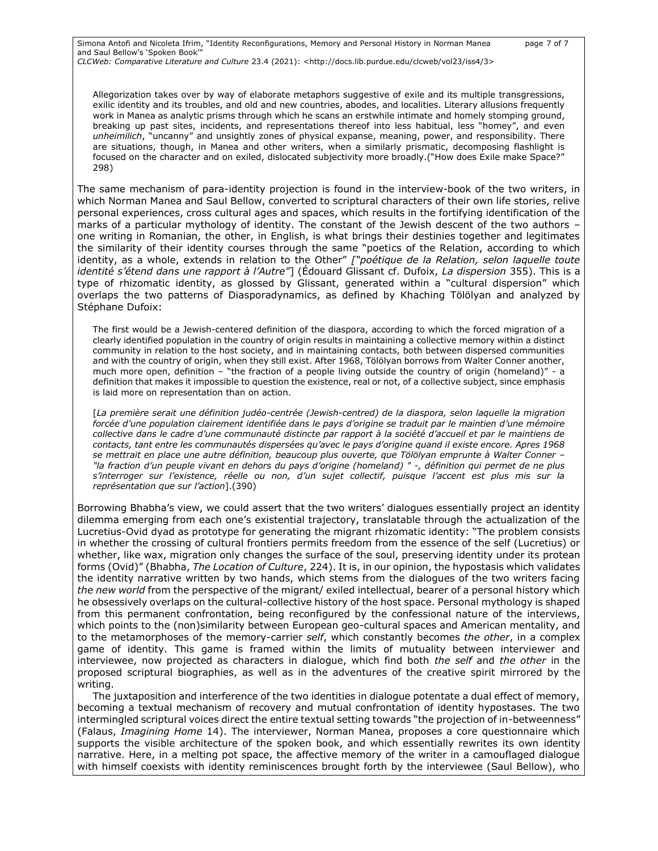Simona Antofi and Nicoleta Ifrim, "Identity Reconfigurations, Memory and Personal History in Norman Manea page 7 of 7 and Saul Bellow's 'Spoken Book'" *CLCWeb: Comparative Literature and Culture* 23.4 (2021): <http://docs.lib.purdue.edu/clcweb/vol23/iss4/3>

Allegorization takes over by way of elaborate metaphors suggestive of exile and its multiple transgressions, exilic identity and its troubles, and old and new countries, abodes, and localities. Literary allusions frequently work in Manea as analytic prisms through which he scans an erstwhile intimate and homely stomping ground, breaking up past sites, incidents, and representations thereof into less habitual, less "homey", and even *unheimilich*, "uncanny" and unsightly zones of physical expanse, meaning, power, and responsibility. There are situations, though, in Manea and other writers, when a similarly prismatic, decomposing flashlight is focused on the character and on exiled, dislocated subjectivity more broadly.("How does Exile make Space?" 298)

The same mechanism of para-identity projection is found in the interview-book of the two writers, in which Norman Manea and Saul Bellow, converted to scriptural characters of their own life stories, relive personal experiences, cross cultural ages and spaces, which results in the fortifying identification of the marks of a particular mythology of identity. The constant of the Jewish descent of the two authors one writing in Romanian, the other, in English, is what brings their destinies together and legitimates the similarity of their identity courses through the same "poetics of the Relation, according to which identity, as a whole, extends in relation to the Other" *["poétique de la Relation, selon laquelle toute identité s'étend dans une rapport à l'Autre"*] (Édouard Glissant cf. Dufoix, *La dispersion* 355). This is a type of rhizomatic identity, as glossed by Glissant, generated within a "cultural dispersion" which overlaps the two patterns of Diasporadynamics, as defined by Khaching Tölölyan and analyzed by Stéphane Dufoix:

The first would be a Jewish-centered definition of the diaspora, according to which the forced migration of a clearly identified population in the country of origin results in maintaining a collective memory within a distinct community in relation to the host society, and in maintaining contacts, both between dispersed communities and with the country of origin, when they still exist. After 1968, Tölölyan borrows from Walter Conner another, much more open, definition – "the fraction of a people living outside the country of origin (homeland)" - a definition that makes it impossible to question the existence, real or not, of a collective subject, since emphasis is laid more on representation than on action.

[*La première serait une définition judéo-centrée (Jewish-centred) de la diaspora, selon laquelle la migration forcée d'une population clairement identifiée dans le pays d'origine se traduit par le maintien d'une mémoire collective dans le cadre d'une communauté distincte par rapport à la société d'accueil et par le maintiens de contacts, tant entre les communautés dispersées qu'avec le pays d'origine quand il existe encore. Apres 1968 se mettrait en place une autre définition, beaucoup plus ouverte, que Tölölyan emprunte à Walter Conner – "la fraction d'un peuple vivant en dehors du pays d'origine (homeland) " -, définition qui permet de ne plus s'interroger sur l'existence, réelle ou non, d'un sujet collectif, puisque l'accent est plus mis sur la représentation que sur l'action*].(390)

Borrowing Bhabha's view, we could assert that the two writers' dialogues essentially project an identity dilemma emerging from each one's existential trajectory, translatable through the actualization of the Lucretius-Ovid dyad as prototype for generating the migrant rhizomatic identity: "The problem consists in whether the crossing of cultural frontiers permits freedom from the essence of the self (Lucretius) or whether, like wax, migration only changes the surface of the soul, preserving identity under its protean forms (Ovid)" (Bhabha, *The Location of Culture*, 224). It is, in our opinion, the hypostasis which validates the identity narrative written by two hands, which stems from the dialogues of the two writers facing *the new world* from the perspective of the migrant/ exiled intellectual, bearer of a personal history which he obsessively overlaps on the cultural-collective history of the host space. Personal mythology is shaped from this permanent confrontation, being reconfigured by the confessional nature of the interviews, which points to the (non)similarity between European geo-cultural spaces and American mentality, and to the metamorphoses of the memory-carrier *self*, which constantly becomes *the other*, in a complex game of identity. This game is framed within the limits of mutuality between interviewer and interviewee, now projected as characters in dialogue, which find both *the self* and *the other* in the proposed scriptural biographies, as well as in the adventures of the creative spirit mirrored by the writing.

The juxtaposition and interference of the two identities in dialogue potentate a dual effect of memory, becoming a textual mechanism of recovery and mutual confrontation of identity hypostases. The two intermingled scriptural voices direct the entire textual setting towards "the projection of in-betweenness" (Falaus, *Imagining Home* 14). The interviewer, Norman Manea, proposes a core questionnaire which supports the visible architecture of the spoken book, and which essentially rewrites its own identity narrative. Here, in a melting pot space, the affective memory of the writer in a camouflaged dialogue with himself coexists with identity reminiscences brought forth by the interviewee (Saul Bellow), who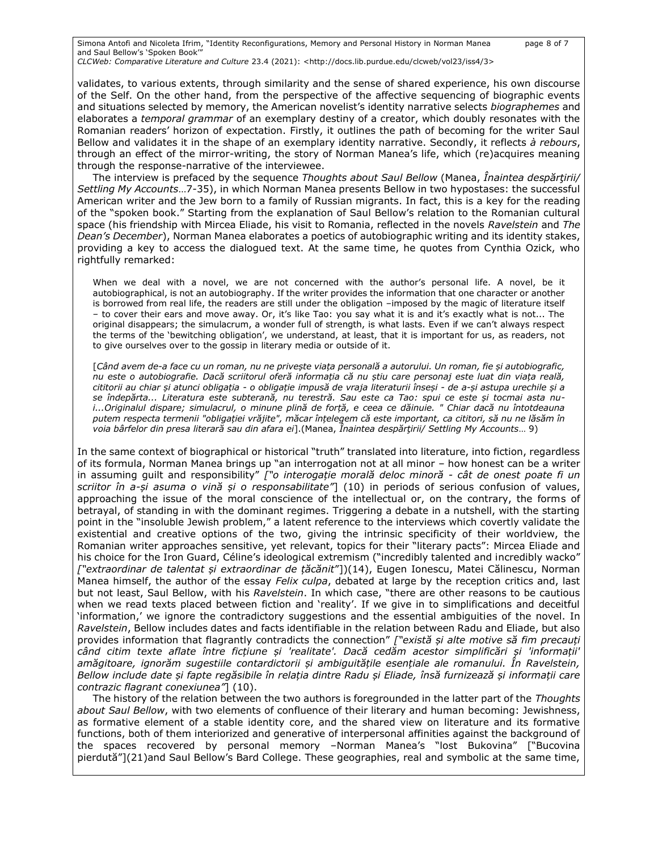Simona Antofi and Nicoleta Ifrim, "Identity Reconfigurations, Memory and Personal History in Norman Manea page 8 of 7 and Saul Bellow's 'Spoken Book'" *CLCWeb: Comparative Literature and Culture* 23.4 (2021): <http://docs.lib.purdue.edu/clcweb/vol23/iss4/3>

validates, to various extents, through similarity and the sense of shared experience, his own discourse of the Self. On the other hand, from the perspective of the affective sequencing of biographic events and situations selected by memory, the American novelist's identity narrative selects *biographemes* and elaborates a *temporal grammar* of an exemplary destiny of a creator, which doubly resonates with the Romanian readers' horizon of expectation. Firstly, it outlines the path of becoming for the writer Saul Bellow and validates it in the shape of an exemplary identity narrative. Secondly, it reflects *à rebours*, through an effect of the mirror-writing, the story of Norman Manea's life, which (re)acquires meaning through the response-narrative of the interviewee.

The interview is prefaced by the sequence *Thoughts about Saul Bellow* (Manea, *Înaintea despărţirii/ Settling My Accounts*…7-35), in which Norman Manea presents Bellow in two hypostases: the successful American writer and the Jew born to a family of Russian migrants. In fact, this is a key for the reading of the "spoken book." Starting from the explanation of Saul Bellow's relation to the Romanian cultural space (his friendship with Mircea Eliade, his visit to Romania, reflected in the novels *Ravelstein* and *The Dean's December*), Norman Manea elaborates a poetics of autobiographic writing and its identity stakes, providing a key to access the dialogued text. At the same time, he quotes from Cynthia Ozick, who rightfully remarked:

When we deal with a novel, we are not concerned with the author's personal life. A novel, be it autobiographical, is not an autobiography. If the writer provides the information that one character or another is borrowed from real life, the readers are still under the obligation –imposed by the magic of literature itself – to cover their ears and move away. Or, it's like Tao: you say what it is and it's exactly what is not... The original disappears; the simulacrum, a wonder full of strength, is what lasts. Even if we can't always respect the terms of the 'bewitching obligation', we understand, at least, that it is important for us, as readers, not to give ourselves over to the gossip in literary media or outside of it.

[*Când avem de-a face cu un roman, nu ne privește viața personală a autorului. Un roman, fie și autobiografic, nu este o autobiografie. Dacă scriitorul oferă informația că nu știu care personaj este luat din viața reală, cititorii au chiar și atunci obligația - o obligație impusă de vraja literaturii înseși - de a-și astupa urechile și a se îndepărta... Literatura este subterană, nu terestră. Sau este ca Tao: spui ce este și tocmai asta nui...Originalul dispare; simulacrul, o minune plină de forță, e ceea ce dăinuie. " Chiar dacă nu întotdeauna putem respecta termenii "obligației vrăjite", măcar înțelegem că este important, ca cititori, să nu ne lăsăm în voia bârfelor din presa literară sau din afara ei*].(Manea, *Înaintea despărţirii/ Settling My Accounts*… 9)

In the same context of biographical or historical "truth" translated into literature, into fiction, regardless of its formula, Norman Manea brings up "an interrogation not at all minor – how honest can be a writer in assuming guilt and responsibility" *["o interogație morală deloc minoră - cât de onest poate fi un scriitor în a-și asuma o vină și o responsabilitate"*] (10) in periods of serious confusion of values, approaching the issue of the moral conscience of the intellectual or, on the contrary, the forms of betrayal, of standing in with the dominant regimes. Triggering a debate in a nutshell, with the starting point in the "insoluble Jewish problem," a latent reference to the interviews which covertly validate the existential and creative options of the two, giving the intrinsic specificity of their worldview, the Romanian writer approaches sensitive, yet relevant, topics for their "literary pacts": Mircea Eliade and his choice for the Iron Guard, Céline's ideological extremism ("incredibly talented and incredibly wacko" *["extraordinar de talentat și extraordinar de țăcănit*"])(14), Eugen Ionescu, Matei Călinescu, Norman Manea himself, the author of the essay *Felix culpa*, debated at large by the reception critics and, last but not least, Saul Bellow, with his *Ravelstein*. In which case, "there are other reasons to be cautious when we read texts placed between fiction and 'reality'. If we give in to simplifications and deceitful 'information,' we ignore the contradictory suggestions and the essential ambiguities of the novel. In *Ravelstein*, Bellow includes dates and facts identifiable in the relation between Radu and Eliade, but also provides information that flagrantly contradicts the connection" *["există și alte motive să fim precauți când citim texte aflate între ficțiune și 'realitate'. Dacă cedăm acestor simplificări și 'informații' amăgitoare, ignorăm sugestiile contardictorii și ambiguitățile esențiale ale romanului. În Ravelstein, Bellow include date și fapte regăsibile în relația dintre Radu și Eliade, însă furnizează și informații care contrazic flagrant conexiunea"*] (10).

The history of the relation between the two authors is foregrounded in the latter part of the *Thoughts about Saul Bellow*, with two elements of confluence of their literary and human becoming: Jewishness, as formative element of a stable identity core, and the shared view on literature and its formative functions, both of them interiorized and generative of interpersonal affinities against the background of the spaces recovered by personal memory –Norman Manea's "lost Bukovina" ["Bucovina pierdută"](21)and Saul Bellow's Bard College. These geographies, real and symbolic at the same time,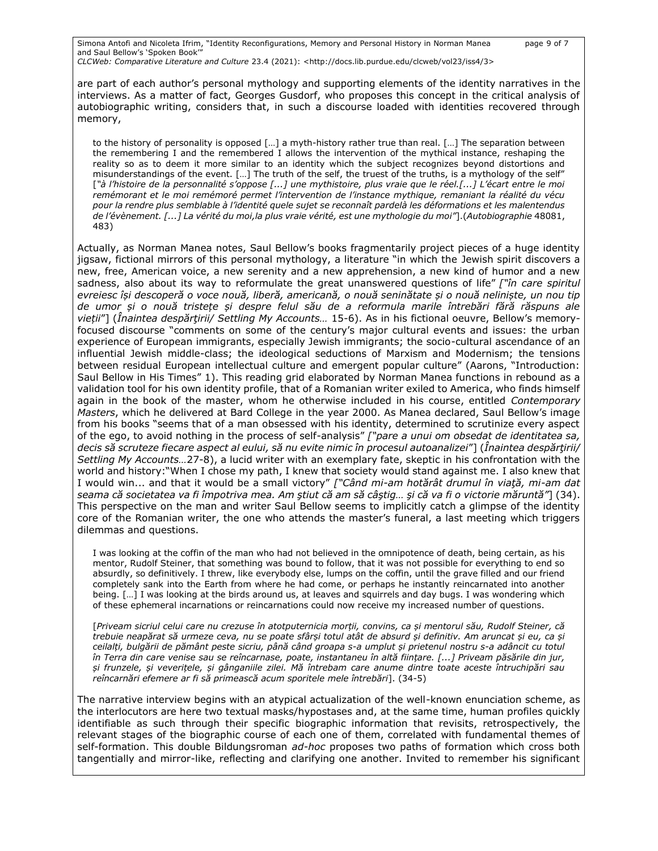Simona Antofi and Nicoleta Ifrim, "Identity Reconfigurations, Memory and Personal History in Norman Manea page 9 of 7 and Saul Bellow's 'Spoken Book'"

*CLCWeb: Comparative Literature and Culture* 23.4 (2021): <http://docs.lib.purdue.edu/clcweb/vol23/iss4/3>

are part of each author's personal mythology and supporting elements of the identity narratives in the interviews. As a matter of fact, Georges Gusdorf, who proposes this concept in the critical analysis of autobiographic writing, considers that, in such a discourse loaded with identities recovered through memory,

to the history of personality is opposed […] a myth-history rather true than real. […] The separation between the remembering I and the remembered I allows the intervention of the mythical instance, reshaping the reality so as to deem it more similar to an identity which the subject recognizes beyond distortions and misunderstandings of the event. [...] The truth of the self, the truest of the truths, is a mythology of the self" [*"à l'histoire de la personnalité s'oppose [...] une mythistoire, plus vraie que le réel.[...] L'écart entre le moi remémorant et le moi remémoré permet l'intervention de l'instance mythique, remaniant la réalité du vécu pour la rendre plus semblable à l'identité quele sujet se reconnaît pardelà les déformations et les malentendus de l'évènement. [...] La vérité du moi,la plus vraie vérité, est une mythologie du moi"*].(*Autobiographie* 48081, 483)

Actually, as Norman Manea notes, Saul Bellow's books fragmentarily project pieces of a huge identity jigsaw, fictional mirrors of this personal mythology, a literature "in which the Jewish spirit discovers a new, free, American voice, a new serenity and a new apprehension, a new kind of humor and a new sadness, also about its way to reformulate the great unanswered questions of life" *["în care spiritul evreiesc își descoperă o voce nouă, liberă, americană, o nouă seninătate și o nouă neliniște, un nou tip de umor și o nouă tristețe și despre felul său de a reformula marile întrebări fără răspuns ale vieții*"] (*Înaintea despărţirii/ Settling My Accounts…* 15-6). As in his fictional oeuvre, Bellow's memoryfocused discourse "comments on some of the century's major cultural events and issues: the urban experience of European immigrants, especially Jewish immigrants; the socio-cultural ascendance of an influential Jewish middle-class; the ideological seductions of Marxism and Modernism; the tensions between residual European intellectual culture and emergent popular culture" (Aarons, "Introduction: Saul Bellow in His Times" 1). This reading grid elaborated by Norman Manea functions in rebound as a validation tool for his own identity profile, that of a Romanian writer exiled to America, who finds himself again in the book of the master, whom he otherwise included in his course, entitled *Contemporary Masters*, which he delivered at Bard College in the year 2000. As Manea declared, Saul Bellow's image from his books "seems that of a man obsessed with his identity, determined to scrutinize every aspect of the ego, to avoid nothing in the process of self-analysis" *["pare a unui om obsedat de identitatea sa, decis să scruteze fiecare aspect al eului, să nu evite nimic în procesul autoanalizei*"] (*Înaintea despărţirii/ Settling My Accounts…*27-8), a lucid writer with an exemplary fate, skeptic in his confrontation with the world and history:"When I chose my path, I knew that society would stand against me. I also knew that I would win... and that it would be a small victory" *["Când mi-am hotărât drumul în viaţă, mi-am dat seama că societatea va fi împotriva mea. Am ştiut că am să câştig… şi că va fi o victorie măruntă"*] (34). This perspective on the man and writer Saul Bellow seems to implicitly catch a glimpse of the identity core of the Romanian writer, the one who attends the master's funeral, a last meeting which triggers dilemmas and questions.

I was looking at the coffin of the man who had not believed in the omnipotence of death, being certain, as his mentor, Rudolf Steiner, that something was bound to follow, that it was not possible for everything to end so absurdly, so definitively. I threw, like everybody else, lumps on the coffin, until the grave filled and our friend completely sank into the Earth from where he had come, or perhaps he instantly reincarnated into another being. […] I was looking at the birds around us, at leaves and squirrels and day bugs. I was wondering which of these ephemeral incarnations or reincarnations could now receive my increased number of questions.

[*Priveam sicriul celui care nu crezuse în atotputernicia morții, convins, ca și mentorul său, Rudolf Steiner, că trebuie neapărat să urmeze ceva, nu se poate sfârși totul atât de absurd și definitiv. Am aruncat și eu, ca și ceilalți, bulgării de pământ peste sicriu, până când groapa s-a umplut și prietenul nostru s-a adâncit cu totul în Terra din care venise sau se reîncarnase, poate, instantaneu în altă ființare. [...] Priveam păsările din jur, și frunzele, și veverițele, și gânganiile zilei. Mă întrebam care anume dintre toate aceste întruchipări sau reîncarnări efemere ar fi să primească acum sporitele mele întrebări*]. (34-5)

The narrative interview begins with an atypical actualization of the well-known enunciation scheme, as the interlocutors are here two textual masks/hypostases and, at the same time, human profiles quickly identifiable as such through their specific biographic information that revisits, retrospectively, the relevant stages of the biographic course of each one of them, correlated with fundamental themes of self-formation. This double Bildungsroman *ad-hoc* proposes two paths of formation which cross both tangentially and mirror-like, reflecting and clarifying one another. Invited to remember his significant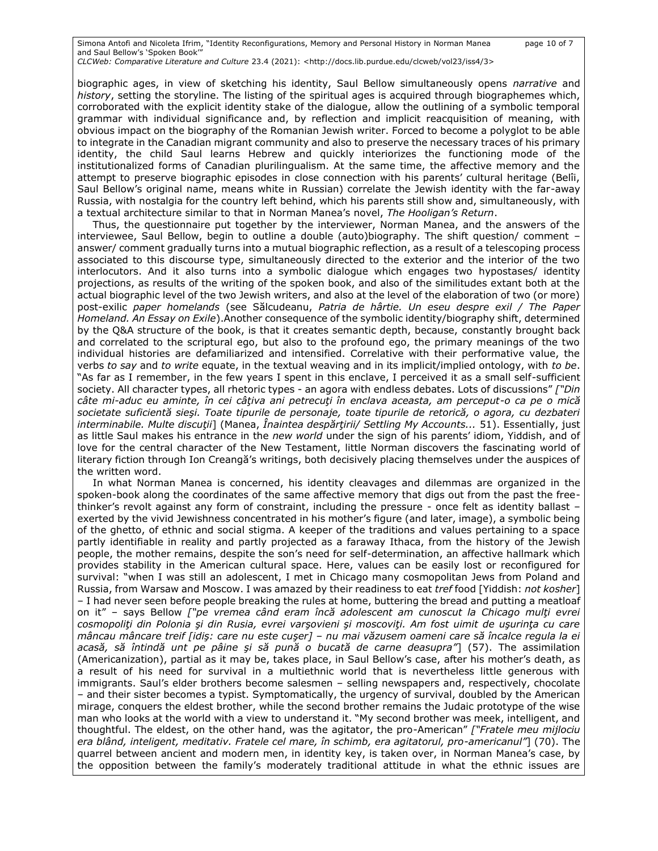Simona Antofi and Nicoleta Ifrim, "Identity Reconfigurations, Memory and Personal History in Norman Manea page 10 of 7 and Saul Bellow's 'Spoken Book'" *CLCWeb: Comparative Literature and Culture* 23.4 (2021): <http://docs.lib.purdue.edu/clcweb/vol23/iss4/3>

biographic ages, in view of sketching his identity, Saul Bellow simultaneously opens *narrative* and *history*, setting the storyline. The listing of the spiritual ages is acquired through biographemes which, corroborated with the explicit identity stake of the dialogue, allow the outlining of a symbolic temporal grammar with individual significance and, by reflection and implicit reacquisition of meaning, with obvious impact on the biography of the Romanian Jewish writer. Forced to become a polyglot to be able to integrate in the Canadian migrant community and also to preserve the necessary traces of his primary identity, the child Saul learns Hebrew and quickly interiorizes the functioning mode of the institutionalized forms of Canadian plurilingualism. At the same time, the affective memory and the attempt to preserve biographic episodes in close connection with his parents' cultural heritage (Belîi, Saul Bellow's original name, means white in Russian) correlate the Jewish identity with the far-away Russia, with nostalgia for the country left behind, which his parents still show and, simultaneously, with a textual architecture similar to that in Norman Manea's novel, *The Hooligan's Return*.

Thus, the questionnaire put together by the interviewer, Norman Manea, and the answers of the interviewee, Saul Bellow, begin to outline a double (auto)biography. The shift question/ comment answer/ comment gradually turns into a mutual biographic reflection, as a result of a telescoping process associated to this discourse type, simultaneously directed to the exterior and the interior of the two interlocutors. And it also turns into a symbolic dialogue which engages two hypostases/ identity projections, as results of the writing of the spoken book, and also of the similitudes extant both at the actual biographic level of the two Jewish writers, and also at the level of the elaboration of two (or more) post-exilic *paper homelands* (see Sălcudeanu, *Patria de hârtie. Un eseu despre exil / The Paper Homeland. An Essay on Exile*).Another consequence of the symbolic identity/biography shift, determined by the Q&A structure of the book, is that it creates semantic depth, because, constantly brought back and correlated to the scriptural ego, but also to the profound ego, the primary meanings of the two individual histories are defamiliarized and intensified. Correlative with their performative value, the verbs *to say* and *to write* equate, in the textual weaving and in its implicit/implied ontology, with *to be*. "As far as I remember, in the few years I spent in this enclave, I perceived it as a small self-sufficient society. All character types, all rhetoric types - an agora with endless debates. Lots of discussions" *["Din câte mi-aduc eu aminte, în cei câţiva ani petrecuţi în enclava aceasta, am perceput-o ca pe o mică societate suficientă sieşi. Toate tipurile de personaje, toate tipurile de retorică, o agora, cu dezbateri interminabile. Multe discuţii*] (Manea, *Înaintea despărţirii/ Settling My Accounts...* 51). Essentially, just as little Saul makes his entrance in the *new world* under the sign of his parents' idiom, Yiddish, and of love for the central character of the New Testament, little Norman discovers the fascinating world of literary fiction through Ion Creangă's writings, both decisively placing themselves under the auspices of the written word.

In what Norman Manea is concerned, his identity cleavages and dilemmas are organized in the spoken-book along the coordinates of the same affective memory that digs out from the past the freethinker's revolt against any form of constraint, including the pressure - once felt as identity ballast – exerted by the vivid Jewishness concentrated in his mother's figure (and later, image), a symbolic being of the ghetto, of ethnic and social stigma. A keeper of the traditions and values pertaining to a space partly identifiable in reality and partly projected as a faraway Ithaca, from the history of the Jewish people, the mother remains, despite the son's need for self-determination, an affective hallmark which provides stability in the American cultural space. Here, values can be easily lost or reconfigured for survival: "when I was still an adolescent, I met in Chicago many cosmopolitan Jews from Poland and Russia, from Warsaw and Moscow. I was amazed by their readiness to eat *tref* food [Yiddish: *not kosher*] – I had never seen before people breaking the rules at home, buttering the bread and putting a meatloaf on it" – says Bellow *["pe vremea când eram încă adolescent am cunoscut la Chicago mulţi evrei cosmopoliţi din Polonia şi din Rusia, evrei varşovieni şi moscoviţi. Am fost uimit de uşurinţa cu care mâncau mâncare treif [idiş: care nu este cuşer] – nu mai văzusem oameni care să încalce regula la ei acasă, să întindă unt pe pâine şi să pună o bucată de carne deasupra"*] (57). The assimilation (Americanization), partial as it may be, takes place, in Saul Bellow's case, after his mother's death, as a result of his need for survival in a multiethnic world that is nevertheless little generous with immigrants. Saul's elder brothers become salesmen – selling newspapers and, respectively, chocolate – and their sister becomes a typist. Symptomatically, the urgency of survival, doubled by the American mirage, conquers the eldest brother, while the second brother remains the Judaic prototype of the wise man who looks at the world with a view to understand it. "My second brother was meek, intelligent, and thoughtful. The eldest, on the other hand, was the agitator, the pro-American" *["Fratele meu mijlociu era blând, inteligent, meditativ. Fratele cel mare, în schimb, era agitatorul, pro-americanul"*] (70). The quarrel between ancient and modern men, in identity key, is taken over, in Norman Manea's case, by the opposition between the family's moderately traditional attitude in what the ethnic issues are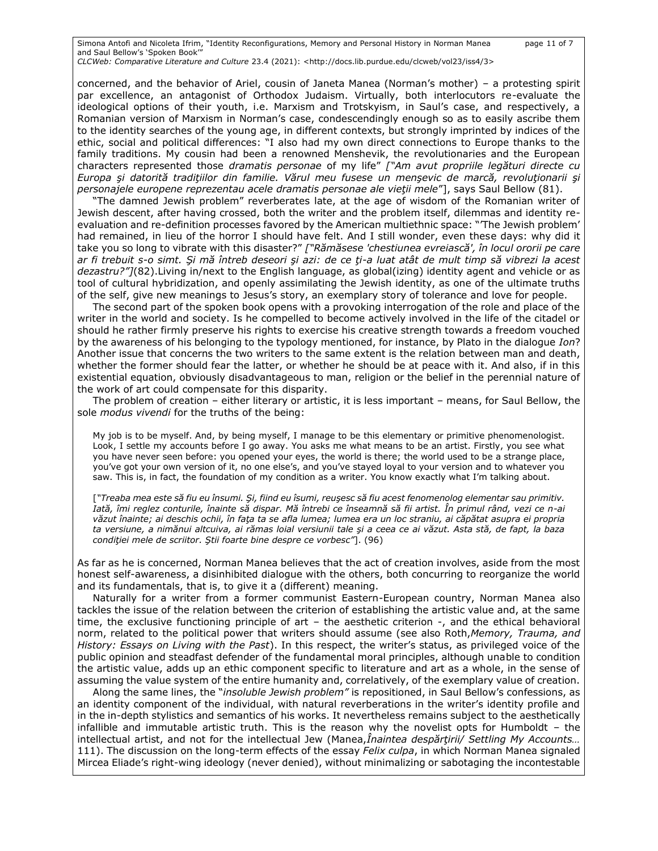Simona Antofi and Nicoleta Ifrim, "Identity Reconfigurations, Memory and Personal History in Norman Manea page 11 of 7 and Saul Bellow's 'Spoken Book'" *CLCWeb: Comparative Literature and Culture* 23.4 (2021): <http://docs.lib.purdue.edu/clcweb/vol23/iss4/3>

concerned, and the behavior of Ariel, cousin of Janeta Manea (Norman's mother) – a protesting spirit par excellence, an antagonist of Orthodox Judaism. Virtually, both interlocutors re-evaluate the ideological options of their youth, i.e. Marxism and Trotskyism, in Saul's case, and respectively, a Romanian version of Marxism in Norman's case, condescendingly enough so as to easily ascribe them to the identity searches of the young age, in different contexts, but strongly imprinted by indices of the ethic, social and political differences: "I also had my own direct connections to Europe thanks to the family traditions. My cousin had been a renowned Menshevik, the revolutionaries and the European characters represented those *dramatis personae* of my life" *["Am avut propriile legături directe cu Europa şi datorită tradiţiilor din familie. Vărul meu fusese un menşevic de marcă, revoluţionarii şi personajele europene reprezentau acele dramatis personae ale vieţii mele*"], says Saul Bellow (81).

"The damned Jewish problem" reverberates late, at the age of wisdom of the Romanian writer of Jewish descent, after having crossed, both the writer and the problem itself, dilemmas and identity reevaluation and re-definition processes favored by the American multiethnic space: "'The Jewish problem' had remained, in lieu of the horror I should have felt. And I still wonder, even these days: why did it take you so long to vibrate with this disaster?" *["Rămăsese 'chestiunea evreiască', în locul ororii pe care ar fi trebuit s-o simt. Şi mă întreb deseori şi azi: de ce ţi-a luat atât de mult timp să vibrezi la acest dezastru?"]*(82).Living in/next to the English language, as global(izing) identity agent and vehicle or as tool of cultural hybridization, and openly assimilating the Jewish identity, as one of the ultimate truths of the self, give new meanings to Jesus's story, an exemplary story of tolerance and love for people.

The second part of the spoken book opens with a provoking interrogation of the role and place of the writer in the world and society. Is he compelled to become actively involved in the life of the citadel or should he rather firmly preserve his rights to exercise his creative strength towards a freedom vouched by the awareness of his belonging to the typology mentioned, for instance, by Plato in the dialogue *Ion*? Another issue that concerns the two writers to the same extent is the relation between man and death, whether the former should fear the latter, or whether he should be at peace with it. And also, if in this existential equation, obviously disadvantageous to man, religion or the belief in the perennial nature of the work of art could compensate for this disparity.

The problem of creation – either literary or artistic, it is less important – means, for Saul Bellow, the sole *modus vivendi* for the truths of the being:

My job is to be myself. And, by being myself, I manage to be this elementary or primitive phenomenologist. Look, I settle my accounts before I go away. You asks me what means to be an artist. Firstly, you see what you have never seen before: you opened your eyes, the world is there; the world used to be a strange place, you've got your own version of it, no one else's, and you've stayed loyal to your version and to whatever you saw. This is, in fact, the foundation of my condition as a writer. You know exactly what I'm talking about.

[*"Treaba mea este să fiu eu însumi. Şi, fiind eu îsumi, reuşesc să fiu acest fenomenolog elementar sau primitiv. Iată, îmi reglez conturile, înainte să dispar. Mă întrebi ce înseamnă să fii artist. În primul rând, vezi ce n-ai văzut înainte; ai deschis ochii, în faţa ta se afla lumea; lumea era un loc straniu, ai căpătat asupra ei propria ta versiune, a nimănui altcuiva, ai rămas loial versiunii tale şi a ceea ce ai văzut. Asta stă, de fapt, la baza condiţiei mele de scriitor. Ştii foarte bine despre ce vorbesc"*]. (96)

As far as he is concerned, Norman Manea believes that the act of creation involves, aside from the most honest self-awareness, a disinhibited dialogue with the others, both concurring to reorganize the world and its fundamentals, that is, to give it a (different) meaning.

Naturally for a writer from a former communist Eastern-European country, Norman Manea also tackles the issue of the relation between the criterion of establishing the artistic value and, at the same time, the exclusive functioning principle of art - the aesthetic criterion -, and the ethical behavioral norm, related to the political power that writers should assume (see also Roth,*Memory, Trauma, and History: Essays on Living with the Past*). In this respect, the writer's status, as privileged voice of the public opinion and steadfast defender of the fundamental moral principles, although unable to condition the artistic value, adds up an ethic component specific to literature and art as a whole, in the sense of assuming the value system of the entire humanity and, correlatively, of the exemplary value of creation.

Along the same lines, the "*insoluble Jewish problem"* is repositioned, in Saul Bellow's confessions, as an identity component of the individual, with natural reverberations in the writer's identity profile and in the in-depth stylistics and semantics of his works. It nevertheless remains subject to the aesthetically infallible and immutable artistic truth. This is the reason why the novelist opts for Humboldt – the intellectual artist, and not for the intellectual Jew (Manea,*Înaintea despărţirii/ Settling My Accounts…*  111). The discussion on the long-term effects of the essay *Felix culpa*, in which Norman Manea signaled Mircea Eliade's right-wing ideology (never denied), without minimalizing or sabotaging the incontestable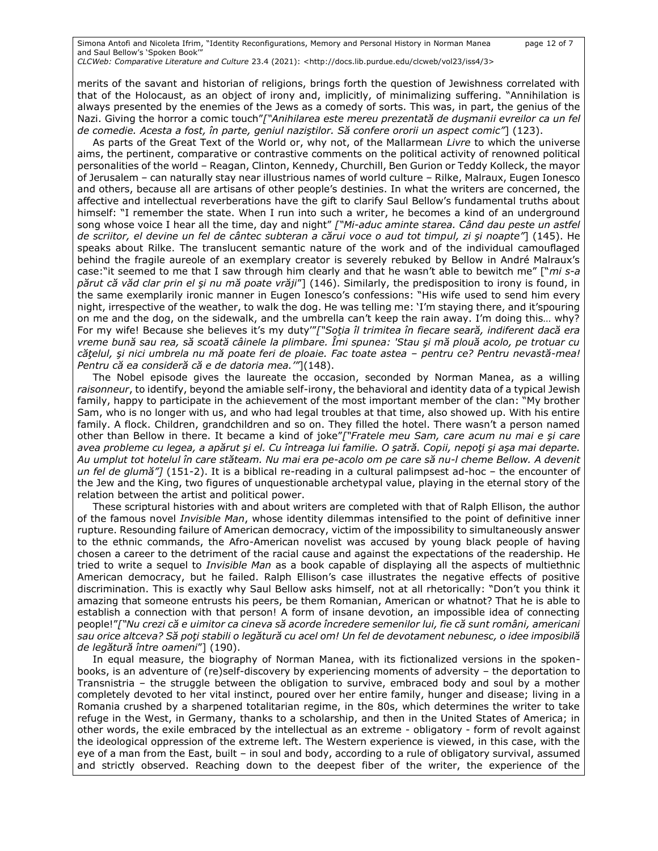Simona Antofi and Nicoleta Ifrim, "Identity Reconfigurations, Memory and Personal History in Norman Manea page 12 of 7 and Saul Bellow's 'Spoken Book'"

*CLCWeb: Comparative Literature and Culture* 23.4 (2021): <http://docs.lib.purdue.edu/clcweb/vol23/iss4/3>

merits of the savant and historian of religions, brings forth the question of Jewishness correlated with that of the Holocaust, as an object of irony and, implicitly, of minimalizing suffering. "Annihilation is always presented by the enemies of the Jews as a comedy of sorts. This was, in part, the genius of the Nazi. Giving the horror a comic touch"*["Anihilarea este mereu prezentată de duşmanii evreilor ca un fel de comedie. Acesta a fost, în parte, geniul naziştilor. Să confere ororii un aspect comic"*] (123).

As parts of the Great Text of the World or, why not, of the Mallarmean *Livre* to which the universe aims, the pertinent, comparative or contrastive comments on the political activity of renowned political personalities of the world – Reagan, Clinton, Kennedy, Churchill, Ben Gurion or Teddy Kolleck, the mayor of Jerusalem – can naturally stay near illustrious names of world culture – Rilke, Malraux, Eugen Ionesco and others, because all are artisans of other people's destinies. In what the writers are concerned, the affective and intellectual reverberations have the gift to clarify Saul Bellow's fundamental truths about himself: "I remember the state. When I run into such a writer, he becomes a kind of an underground song whose voice I hear all the time, day and night" *["Mi-aduc aminte starea. Când dau peste un astfel de scriitor, el devine un fel de cântec subteran a cărui voce o aud tot timpul, zi şi noapte"*] (145). He speaks about Rilke. The translucent semantic nature of the work and of the individual camouflaged behind the fragile aureole of an exemplary creator is severely rebuked by Bellow in André Malraux's case:"it seemed to me that I saw through him clearly and that he wasn't able to bewitch me" ["*mi s-a părut că văd clar prin el şi nu mă poate vrăji*"] (146). Similarly, the predisposition to irony is found, in the same exemplarily ironic manner in Eugen Ionesco's confessions: "His wife used to send him every night, irrespective of the weather, to walk the dog. He was telling me: 'I'm staying there, and it'spouring on me and the dog, on the sidewalk, and the umbrella can't keep the rain away. I'm doing this… why? For my wife! Because she believes it's my duty'"*["Soţia îl trimitea în fiecare seară, indiferent dacă era vreme bună sau rea, să scoată câinele la plimbare. Îmi spunea: 'Stau şi mă plouă acolo, pe trotuar cu căţelul, şi nici umbrela nu mă poate feri de ploaie. Fac toate astea – pentru ce? Pentru nevastă-mea! Pentru că ea consideră că e de datoria mea.'"*](148).

The Nobel episode gives the laureate the occasion, seconded by Norman Manea, as a willing *raisonneur*, to identify, beyond the amiable self-irony, the behavioral and identity data of a typical Jewish family, happy to participate in the achievement of the most important member of the clan: "My brother Sam, who is no longer with us, and who had legal troubles at that time, also showed up. With his entire family. A flock. Children, grandchildren and so on. They filled the hotel. There wasn't a person named other than Bellow in there. It became a kind of joke"*["Fratele meu Sam, care acum nu mai e şi care avea probleme cu legea, a apărut şi el. Cu întreaga lui familie. O şatră. Copii, nepoţi şi aşa mai departe. Au umplut tot hotelul în care stăteam. Nu mai era pe-acolo om pe care să nu-l cheme Bellow. A devenit un fel de glumă"]* (151-2). It is a biblical re-reading in a cultural palimpsest ad-hoc – the encounter of the Jew and the King, two figures of unquestionable archetypal value, playing in the eternal story of the relation between the artist and political power.

These scriptural histories with and about writers are completed with that of Ralph Ellison, the author of the famous novel *Invisible Man*, whose identity dilemmas intensified to the point of definitive inner rupture. Resounding failure of American democracy, victim of the impossibility to simultaneously answer to the ethnic commands, the Afro-American novelist was accused by young black people of having chosen a career to the detriment of the racial cause and against the expectations of the readership. He tried to write a sequel to *Invisible Man* as a book capable of displaying all the aspects of multiethnic American democracy, but he failed. Ralph Ellison's case illustrates the negative effects of positive discrimination. This is exactly why Saul Bellow asks himself, not at all rhetorically: "Don't you think it amazing that someone entrusts his peers, be them Romanian, American or whatnot? That he is able to establish a connection with that person! A form of insane devotion, an impossible idea of connecting people!"*["Nu crezi că e uimitor ca cineva să acorde încredere semenilor lui, fie că sunt români, americani sau orice altceva? Să poţi stabili o legătură cu acel om! Un fel de devotament nebunesc, o idee imposibilă de legătură între oameni*"] (190).

In equal measure, the biography of Norman Manea, with its fictionalized versions in the spokenbooks, is an adventure of (re)self-discovery by experiencing moments of adversity – the deportation to Transnistria – the struggle between the obligation to survive, embraced body and soul by a mother completely devoted to her vital instinct, poured over her entire family, hunger and disease; living in a Romania crushed by a sharpened totalitarian regime, in the 80s, which determines the writer to take refuge in the West, in Germany, thanks to a scholarship, and then in the United States of America; in other words, the exile embraced by the intellectual as an extreme - obligatory - form of revolt against the ideological oppression of the extreme left. The Western experience is viewed, in this case, with the eye of a man from the East, built – in soul and body, according to a rule of obligatory survival, assumed and strictly observed. Reaching down to the deepest fiber of the writer, the experience of the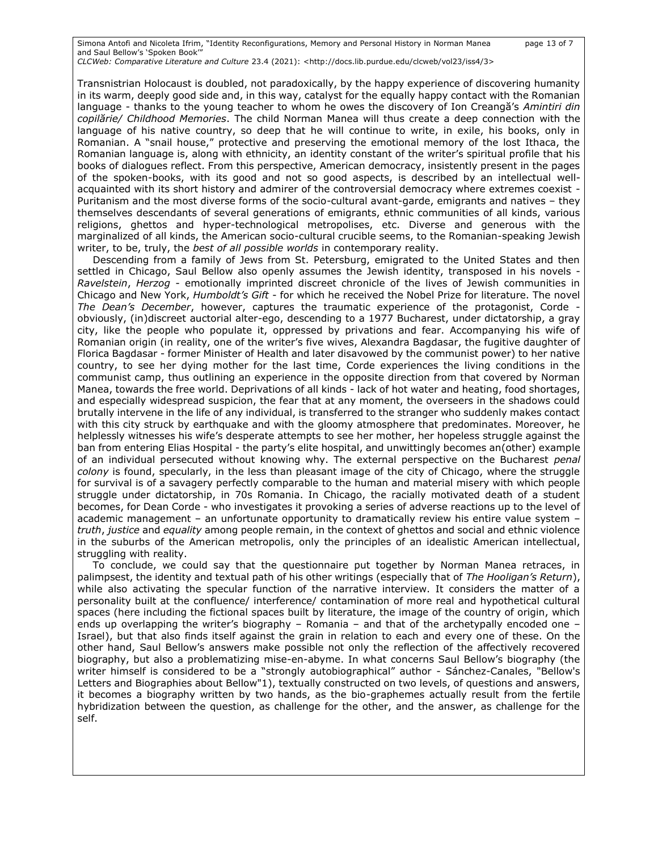Simona Antofi and Nicoleta Ifrim, "Identity Reconfigurations, Memory and Personal History in Norman Manea page 13 of 7 and Saul Bellow's 'Spoken Book'" *CLCWeb: Comparative Literature and Culture* 23.4 (2021): <http://docs.lib.purdue.edu/clcweb/vol23/iss4/3>

Transnistrian Holocaust is doubled, not paradoxically, by the happy experience of discovering humanity in its warm, deeply good side and, in this way, catalyst for the equally happy contact with the Romanian language - thanks to the young teacher to whom he owes the discovery of Ion Creangă's *Amintiri din copilărie/ Childhood Memories*. The child Norman Manea will thus create a deep connection with the language of his native country, so deep that he will continue to write, in exile, his books, only in Romanian. A "snail house," protective and preserving the emotional memory of the lost Ithaca, the Romanian language is, along with ethnicity, an identity constant of the writer's spiritual profile that his books of dialogues reflect. From this perspective, American democracy, insistently present in the pages of the spoken-books, with its good and not so good aspects, is described by an intellectual wellacquainted with its short history and admirer of the controversial democracy where extremes coexist - Puritanism and the most diverse forms of the socio-cultural avant-garde, emigrants and natives – they themselves descendants of several generations of emigrants, ethnic communities of all kinds, various religions, ghettos and hyper-technological metropolises, etc. Diverse and generous with the marginalized of all kinds, the American socio-cultural crucible seems, to the Romanian-speaking Jewish writer, to be, truly, the *best of all possible worlds* in contemporary reality.

Descending from a family of Jews from St. Petersburg, emigrated to the United States and then settled in Chicago, Saul Bellow also openly assumes the Jewish identity, transposed in his novels *Ravelstein*, *Herzog* - emotionally imprinted discreet chronicle of the lives of Jewish communities in Chicago and New York, *Humboldt's Gift* - for which he received the Nobel Prize for literature. The novel *The Dean's December*, however, captures the traumatic experience of the protagonist, Corde obviously, (in)discreet auctorial alter-ego, descending to a 1977 Bucharest, under dictatorship, a gray city, like the people who populate it, oppressed by privations and fear. Accompanying his wife of Romanian origin (in reality, one of the writer's five wives, Alexandra Bagdasar, the fugitive daughter of Florica Bagdasar - former Minister of Health and later disavowed by the communist power) to her native country, to see her dying mother for the last time, Corde experiences the living conditions in the communist camp, thus outlining an experience in the opposite direction from that covered by Norman Manea, towards the free world. Deprivations of all kinds - lack of hot water and heating, food shortages, and especially widespread suspicion, the fear that at any moment, the overseers in the shadows could brutally intervene in the life of any individual, is transferred to the stranger who suddenly makes contact with this city struck by earthquake and with the gloomy atmosphere that predominates. Moreover, he helplessly witnesses his wife's desperate attempts to see her mother, her hopeless struggle against the ban from entering Elias Hospital - the party's elite hospital, and unwittingly becomes an(other) example of an individual persecuted without knowing why. The external perspective on the Bucharest *penal colony* is found, specularly, in the less than pleasant image of the city of Chicago, where the struggle for survival is of a savagery perfectly comparable to the human and material misery with which people struggle under dictatorship, in 70s Romania. In Chicago, the racially motivated death of a student becomes, for Dean Corde - who investigates it provoking a series of adverse reactions up to the level of academic management – an unfortunate opportunity to dramatically review his entire value system – *truth*, *justice* and *equality* among people remain, in the context of ghettos and social and ethnic violence in the suburbs of the American metropolis, only the principles of an idealistic American intellectual, struggling with reality.

To conclude, we could say that the questionnaire put together by Norman Manea retraces, in palimpsest, the identity and textual path of his other writings (especially that of *The Hooligan's Return*), while also activating the specular function of the narrative interview. It considers the matter of a personality built at the confluence/ interference/ contamination of more real and hypothetical cultural spaces (here including the fictional spaces built by literature, the image of the country of origin, which ends up overlapping the writer's biography – Romania – and that of the archetypally encoded one  $\cdot$ Israel), but that also finds itself against the grain in relation to each and every one of these. On the other hand, Saul Bellow's answers make possible not only the reflection of the affectively recovered biography, but also a problematizing mise-en-abyme. In what concerns Saul Bellow's biography (the writer himself is considered to be a "strongly autobiographical" author - Sánchez-Canales, "Bellow's Letters and Biographies about Bellow"1), textually constructed on two levels, of questions and answers, it becomes a biography written by two hands, as the bio-graphemes actually result from the fertile hybridization between the question, as challenge for the other, and the answer, as challenge for the self.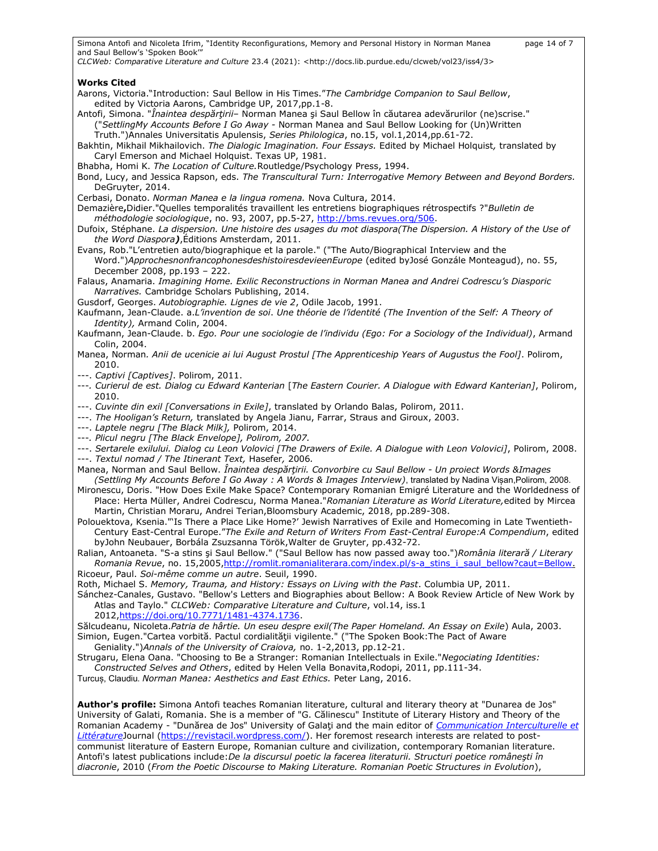Simona Antofi and Nicoleta Ifrim, "Identity Reconfigurations, Memory and Personal History in Norman Manea page 14 of 7 and Saul Bellow's 'Spoken Book'" *CLCWeb: Comparative Literature and Culture* 23.4 (2021): <http://docs.lib.purdue.edu/clcweb/vol23/iss4/3> **Works Cited** Aarons, Victoria."Introduction: Saul Bellow in His Times."*The Cambridge Companion to Saul Bellow*, edited by Victoria Aarons, Cambridge UP, 2017,pp.1-8. Antofi, Simona. "*Înaintea despărţirii*– Norman Manea şi Saul Bellow în căutarea adevărurilor (ne)scrise." ("*SettlingMy Accounts Before I Go Away -* Norman Manea and Saul Bellow Looking for (Un)Written Truth.")Annales Universitatis Apulensis, *Series Philologica*, no.15, vol.1,2014,pp.61-72. Bakhtin, Mikhail Mikhailovich. *The Dialogic Imagination. Four Essays.* Edited by Michael Holquist*,* translated by Caryl Emerson and Michael Holquist. Texas UP, 1981. Bhabha, Homi K. *The Location of Culture.*Routledge/Psychology Press, 1994. Bond, Lucy, and Jessica Rapson, eds. *The Transcultural Turn: Interrogative Memory Between and Beyond Borders.*  DeGruyter, 2014. Cerbasi, Donato. *Norman Manea e la lingua romena.* Nova Cultura, 2014. Demazière**,**Didier."Quelles temporalités travaillent les entretiens biographiques rétrospectifs ?"*Bulletin de méthodologie sociologique*, no. 93, 2007, pp.5-27, [http://bms.revues.org/506.](http://bms.revues.org/506) Dufoix, Stéphane. *La dispersion. Une histoire des usages du mot diaspora(The Dispersion. A History of the Use of the Word Diaspora)*,Éditions Amsterdam, 2011. Evans, Rob."L'entretien auto/biographique et la parole." ("The Auto/Biographical Interview and the Word.")*ApprochesnonfrancophonesdeshistoiresdevieenEurope* (edited byJosé Gonzále Monteagud), no. 55, December 2008, pp.193 – 222. Falaus, Anamaria. *Imagining Home. Exilic Reconstructions in Norman Manea and Andrei Codrescu's Diasporic Narratives.* Cambridge Scholars Publishing, 2014. Gusdorf, Georges. *Autobiographie. Lignes de vie 2*, Odile Jacob, 1991. Kaufmann, Jean-Claude. a.*L'invention de soi*. *Une théorie de l'identité (The Invention of the Self: A Theory of Identity),* Armand Colin, 2004. Kaufmann, Jean-Claude. b. *Ego. Pour une sociologie de l'individu (Ego: For a Sociology of the Individual)*, Armand Colin, 2004. Manea, Norman*. Anii de ucenicie ai lui August Prostul [The Apprenticeship Years of Augustus the Fool]*. Polirom, 2010. ---. *Captivi [Captives]*. Polirom, 2011. ---*. Curierul de est. Dialog cu Edward Kanterian* [*The Eastern Courier. A Dialogue with Edward Kanterian]*, Polirom, 2010. ---. *Cuvinte din exil [Conversations in Exile]*, translated by Orlando Balas, Polirom, 2011. ---. *The Hooligan's Return,* translated by Angela Jianu, Farrar, Straus and Giroux, 2003. ---. *Laptele negru [The Black Milk],* Polirom, 2014. ---*. Plicul negru [The Black Envelope], Polirom, 2007.* ---. *Sertarele exilului. Dialog cu Leon Volovici [The Drawers of Exile. A Dialogue with Leon Volovici]*, Polirom, 2008. ---. *Textul nomad / The Itinerant Text,* Hasefer*,* 2006*.* Manea, Norman and Saul Bellow. *Înaintea despărţirii. Convorbire cu Saul Bellow - Un proiect Words &Images (Settling My Accounts Before I Go Away : A Words & Images Interview)*, translated by Nadina Vișan,Polirom, 2008. Mironescu, Doris. "How Does Exile Make Space? Contemporary Romanian Emigré Literature and the Worldedness of Place: Herta Müller, Andrei Codrescu, Norma Manea."*Romanian Literature as World Literature,*edited by Mircea Martin, Christian Moraru, Andrei Terian,Bloomsbury Academic, 2018, pp.289-308. Polouektova, Ksenia."'Is There a Place Like Home?' Jewish Narratives of Exile and Homecoming in Late Twentieth-Century East-Central Europe."*The Exile and Return of Writers From East-Central Europe:A Compendium*, edited byJohn Neubauer, Borbála Zsuzsanna Török,Walter de Gruyter, pp.432-72. Ralian, Antoaneta. "S-a stins şi Saul Bellow." ("Saul Bellow has now passed away too.")*România literară / Literary Romania Revue*, no. 15,2005[,http://romlit.romanialiterara.com/index.pl/s-a\\_stins\\_i\\_saul\\_bellow?caut=Bellow.](http://romlit.romanialiterara.com/index.pl/s-a_stins_i_saul_bellow?caut=Bellow) Ricoeur, Paul. *Soi-même comme un autre*. Seuil, 1990. Roth, Michael S. *Memory, Trauma, and History: Essays on Living with the Past*. Columbia UP, 2011. Sánchez-Canales, Gustavo. "Bellow's Letters and Biographies about Bellow: A Book Review Article of New Work by Atlas and Taylo." *CLCWeb: Comparative Literature and Culture*, vol.14, iss.1 2012[,https://doi.org/10.7771/1481-4374.1736.](https://doi.org/10.7771/1481-4374.1736) Sălcudeanu, Nicoleta.*Patria de hârtie. Un eseu despre exil(The Paper Homeland. An Essay on Exile*) Aula, 2003. Simion, Eugen."Cartea vorbită. Pactul cordialităţii vigilente." ("The Spoken Book:The Pact of Aware Geniality.")*Annals of the University of Craiova,* no. 1-2,2013, pp.12-21. Strugaru, Elena Oana. "Choosing to Be a Stranger: Romanian Intellectuals in Exile."*Negociating Identities: Constructed Selves and Others*, edited by Helen Vella Bonavita,Rodopi, 2011, pp.111-34. Turcuș, Claudiu. *Norman Manea: Aesthetics and East Ethics.* Peter Lang, 2016.

**Author's profile:** Simona Antofi teaches Romanian literature, cultural and literary theory at "Dunarea de Jos" University of Galati, Romania. She is a member of "G. Călinescu" Institute of Literary History and Theory of the Romanian Academy - "Dunărea de Jos" University of Galaţi and the main editor of *[Communication Interculturelle et](https://revistacil.wordpress.com/)  [Littérature](https://revistacil.wordpress.com/)*Journal [\(https://revistacil.wordpress.com/\)](https://revistacil.wordpress.com/). Her foremost research interests are related to postcommunist literature of Eastern Europe, Romanian culture and civilization, contemporary Romanian literature. Antofi's latest publications include:*De la discursul poetic la facerea literaturii. Structuri poetice româneşti în diacronie*, 2010 (*From the Poetic Discourse to Making Literature. Romanian Poetic Structures in Evolution*),